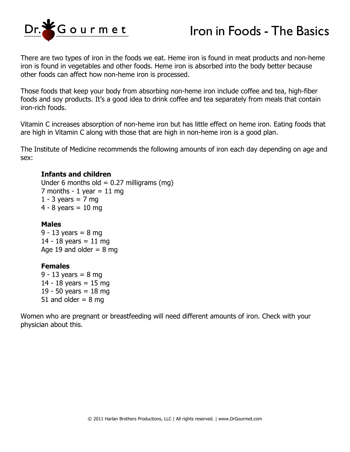

## Iron in Foods - The Basics

There are two types of iron in the foods we eat. Heme iron is found in meat products and non-heme iron is found in vegetables and other foods. Heme iron is absorbed into the body better because other foods can affect how non-heme iron is processed.

Those foods that keep your body from absorbing non-heme iron include coffee and tea, high-fiber foods and soy products. It's a good idea to drink coffee and tea separately from meals that contain iron-rich foods.

Vitamin C increases absorption of non-heme iron but has little effect on heme iron. Eating foods that are high in Vitamin C along with those that are high in non-heme iron is a good plan.

The Institute of Medicine recommends the following amounts of iron each day depending on age and sex:

## **Infants and children**

Under 6 months old =  $0.27$  milligrams (mg) 7 months - 1 year  $= 11$  mg 1 - 3 years =  $7 \text{ mg}$  $4 - 8$  years = 10 mg

## **Males**

9 - 13 years =  $8 \text{ mg}$ 14 - 18 years = 11 mg Age 19 and older  $= 8$  mg

## **Females**

9 - 13 years =  $8 \text{ mg}$ 14 - 18 years  $= 15$  mg 19 - 50 years = 18 mg 51 and older  $= 8$  mg

Women who are pregnant or breastfeeding will need different amounts of iron. Check with your physician about this.